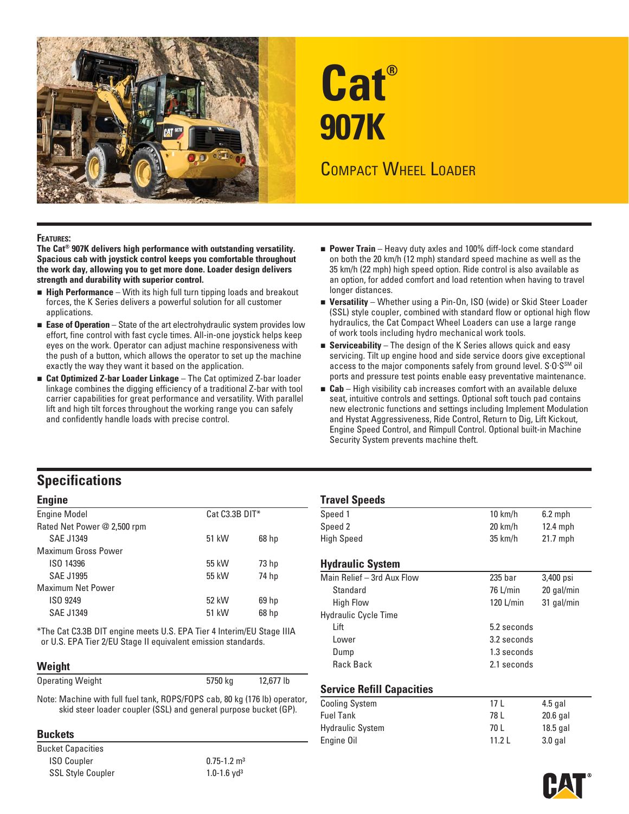

# **Cat® 907K**  COMPACT WHEEL LOADER

**FEATURES: The Cat® 907K delivers high performance with outstanding versatility. Spacious cab with joystick control keeps you comfortable throughout the work day, allowing you to get more done. Loader design delivers strength and durability with superior control.** 

- **High Performance** With its high full turn tipping loads and breakout forces, the K Series delivers a powerful solution for all customer applications.
- **Ease of Operation** State of the art electrohydraulic system provides low effort, fine control with fast cycle times. All-in-one joystick helps keep eyes on the work. Operator can adjust machine responsiveness with the push of a button, which allows the operator to set up the machine exactly the way they want it based on the application.
- **Cat Optimized Z-bar Loader Linkage** The Cat optimized Z-bar loader linkage combines the digging efficiency of a traditional Z-bar with tool carrier capabilities for great performance and versatility. With parallel lift and high tilt forces throughout the working range you can safely and confidently handle loads with precise control.
- **Power Train** Heavy duty axles and 100% diff-lock come standard on both the 20 km/h (12 mph) standard speed machine as well as the 35 km/h (22 mph) high speed option. Ride control is also available as an option, for added comfort and load retention when having to travel longer distances.
- **Versatility** Whether using a Pin-On, ISO (wide) or Skid Steer Loader (SSL) style coupler, combined with standard flow or optional high flow hydraulics, the Cat Compact Wheel Loaders can use a large range of work tools including hydro mechanical work tools.
- **Serviceability** The design of the K Series allows quick and easy servicing. Tilt up engine hood and side service doors give exceptional access to the major components safely from ground level. S.O.S<sup>SM</sup> oil ports and pressure test points enable easy preventative maintenance.
- **Cab** High visibility cab increases comfort with an available deluxe seat, intuitive controls and settings. Optional soft touch pad contains new electronic functions and settings including Implement Modulation and Hystat Aggressiveness, Ride Control, Return to Dig, Lift Kickout, Engine Speed Control, and Rimpull Control. Optional built-in Machine Security System prevents machine theft.

## **Specifications**

| <b>Engine</b>               | <b>Travel Speeds</b> |                  |                            |
|-----------------------------|----------------------|------------------|----------------------------|
| <b>Engine Model</b>         | $Cat C3.3B DIT*$     |                  | Speed 1                    |
| Rated Net Power @ 2,500 rpm |                      |                  | Speed 2                    |
| <b>SAE J1349</b>            | 51 kW                | 68 <sub>hp</sub> | <b>High Speed</b>          |
| Maximum Gross Power         |                      |                  |                            |
| ISO 14396                   | 55 kW                | 73 <sub>hp</sub> | <b>Hydraulic Syste</b>     |
| <b>SAE J1995</b>            | 55 kW                | 74 hp            | Main Relief $-$ 3rd $\ell$ |
| <b>Maximum Net Power</b>    |                      |                  | Standard                   |
| ISO 9249                    | 52 kW                | 69 <sub>hp</sub> | <b>High Flow</b>           |
| <b>SAE J1349</b>            | 51 kW                | 68 <sub>hp</sub> | Hydraulic Cycle Ti         |

\*The Cat C3.3B DIT engine meets U.S. EPA Tier 4 Interim/EU Stage IIIA or U.S. EPA Tier 2/EU Stage II equivalent emission standards.

### **Weight**

| Operating Weight | 5750 kg | 12,677 lb |
|------------------|---------|-----------|
|                  |         |           |

Service Refill Capacities<br>Note: Machine with full fuel tank, ROPS/FOPS cab, 80 kg (176 lb) operator,<br>skid steer loader coupler (SSL) and general purpose bucket (GP).

ISO Coupler 0.75-1.2 m<sup>3</sup> SSL Style Coupler 1.0-1.6 yd<sup>3</sup>

| <b>Travel Speeds</b>       |                   |                      |
|----------------------------|-------------------|----------------------|
| Speed 1                    | $10 \text{ km/h}$ | $6.2$ mph            |
| Speed 2                    | 20 km/h           | $12.4$ mph           |
| <b>High Speed</b>          | $35$ km/h         | $21.7$ mph           |
| <b>Hydraulic System</b>    |                   |                      |
| Main Relief - 3rd Aux Flow | 235 bar           | 3,400 psi            |
| <b>Standard</b>            | 76 L/min          | 20 gal/min           |
|                            | $\cdots$          | $\sim$ $\sim$ $\sim$ |

| <b>High Flow</b>            | 120 $L/min$ | 31 gal/min |
|-----------------------------|-------------|------------|
| <b>Hydraulic Cycle Time</b> |             |            |
| Lift                        | 5.2 seconds |            |
| Lower                       | 3.2 seconds |            |
| Dump                        | 1.3 seconds |            |
| Rack Back                   | 2.1 seconds |            |
|                             |             |            |

| Note: Machine with full fuel tank, ROPS/FOPS cab, 80 kg (176 lb) operator,<br>skid steer loader coupler (SSL) and general purpose bucket (GP). | <b>Cooling System</b>   | 17 L   | 4.5 gal    |
|------------------------------------------------------------------------------------------------------------------------------------------------|-------------------------|--------|------------|
|                                                                                                                                                | <b>Fuel Tank</b>        | 78 L   | $20.6$ gal |
| <b>Buckets</b>                                                                                                                                 | <b>Hydraulic System</b> | 70 L   | $18.5$ aal |
|                                                                                                                                                | Engine Oil              | 11.2 L | $3.0$ gal  |
| <b>Bucket Capacities</b>                                                                                                                       |                         |        |            |

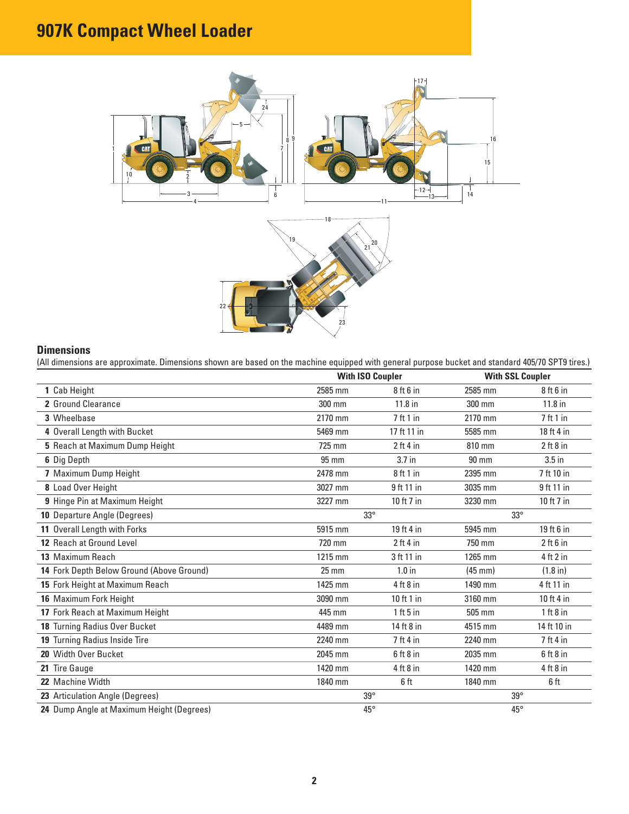# **907K Compact Wheel Loader**



### **Dimensions**

(All dimensions are approximate. Dimensions shown are based on the machine equipped with general purpose bucket and standard 405/70 SPT9 tires.)

|                                           |                 | <b>With ISO Coupler</b> |                   | <b>With SSL Coupler</b> |
|-------------------------------------------|-----------------|-------------------------|-------------------|-------------------------|
| 1 Cab Height                              | 2585 mm         | $8$ ft $6$ in           | 2585 mm           | $8$ ft $6$ in           |
| 2 Ground Clearance                        | 300 mm          | 11.8 in                 | 300 mm            | $11.8$ in               |
| 3 Wheelbase                               | 2170 mm         | 7 ft 1 in               | 2170 mm           | 7ft1in                  |
| 4 Overall Length with Bucket              | 5469 mm         | 17 ft 11 in             | 5585 mm           | 18 ft 4 in              |
| 5 Reach at Maximum Dump Height            | 725 mm          | $2$ ft 4 in             | 810 mm            | $2$ ft $8$ in           |
| 6 Dig Depth                               | 95 mm           | 3.7 in                  | $90 \text{ mm}$   | $3.5$ in                |
| 7 Maximum Dump Height                     | 2478 mm         | 8 ft 1 in               | 2395 mm           | 7 ft 10 in              |
| 8 Load Over Height                        | 3027 mm         | 9 ft 11 in              | 3035 mm           | 9 ft 11 in              |
| 9 Hinge Pin at Maximum Height             | 3227 mm         | 10 ft 7 in              | 3230 mm           | 10 ft 7 in              |
| 10 Departure Angle (Degrees)              | $33^\circ$      |                         | $33^\circ$        |                         |
| 11 Overall Length with Forks              | 5915 mm         | 19 ft 4 in              | 5945 mm           | 19 ft 6 in              |
| 12 Reach at Ground Level                  | 720 mm          | $2$ ft 4 in             | 750 mm            | $2$ ft $6$ in           |
| 13 Maximum Reach                          | 1215 mm         | 3 ft 11 in              | 1265 mm           | 4 ft 2 in               |
| 14 Fork Depth Below Ground (Above Ground) | $25 \text{ mm}$ | $1.0$ in                | $(45 \text{ mm})$ | $(1.8 \text{ in})$      |
| 15 Fork Height at Maximum Reach           | 1425 mm         | $4$ ft $8$ in           | 1490 mm           | 4 ft 11 in              |
| 16 Maximum Fork Height                    | 3090 mm         | 10 ft 1 in              | 3160 mm           | 10 ft 4 in              |
| 17 Fork Reach at Maximum Height           | 445 mm          | $1$ ft 5 in             | 505 mm            | 1 ft 8 in               |
| 18 Turning Radius Over Bucket             | 4489 mm         | 14 ft 8 in              | 4515 mm           | 14 ft 10 in             |
| 19 Turning Radius Inside Tire             | 2240 mm         | $7$ ft 4 in             | 2240 mm           | $7$ ft 4 in             |
| 20 Width Over Bucket                      | 2045 mm         | $6$ ft $8$ in           | 2035 mm           | $6$ ft $8$ in           |
| 21 Tire Gauge                             | 1420 mm         | $4$ ft $8$ in           | 1420 mm           | $4$ ft $8$ in           |
| 22 Machine Width                          | 1840 mm         | 6 ft                    | 1840 mm           | 6 ft                    |
| 23 Articulation Angle (Degrees)           | $39^\circ$      |                         | $39^\circ$        |                         |
| 24 Dump Angle at Maximum Height (Degrees) | $45^{\circ}$    |                         | $45^{\circ}$      |                         |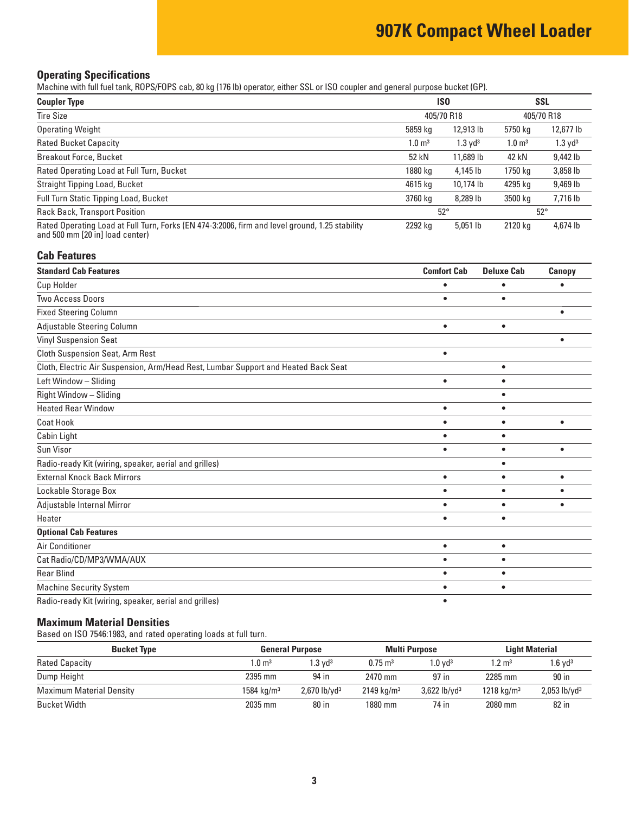# **907K Compact Wheel Loader**

### **Operating Specifications**

Machine with full fuel tank, ROPS/FOPS cab, 80 kg (176 lb) operator, either SSL or ISO coupler and general purpose bucket (GP).

| <b>Coupler Type</b>                                                                                                               | <b>ISO</b>            |                       | <b>SSL</b>            |                    |
|-----------------------------------------------------------------------------------------------------------------------------------|-----------------------|-----------------------|-----------------------|--------------------|
| <b>Tire Size</b>                                                                                                                  |                       | 405/70 R18            |                       | 405/70 R18         |
| <b>Operating Weight</b>                                                                                                           | 5859 kg               | 12,913 lb             | 5750 kg               | 12,677 lb          |
| <b>Rated Bucket Capacity</b>                                                                                                      | $1.0 \; \mathrm{m}^3$ | $1.3$ yd <sup>3</sup> | $1.0 \; \mathrm{m}^3$ | $1.3 \text{ yd}^3$ |
| <b>Breakout Force, Bucket</b>                                                                                                     | 52 kN                 | 11,689 lb             | 42 kN                 | 9,442 lb           |
| Rated Operating Load at Full Turn, Bucket                                                                                         | 1880 kg               | 4,145 lb              | 1750 kg               | 3,858 lb           |
| Straight Tipping Load, Bucket                                                                                                     | 4615 kg               | 10,174 lb             | 4295 kg               | 9,469 lb           |
| Full Turn Static Tipping Load, Bucket                                                                                             | 3760 kg               | 8,289 lb              | 3500 kg               | 7,716 lb           |
| <b>Rack Back, Transport Position</b>                                                                                              | $52^{\circ}$          |                       |                       | $52^\circ$         |
| Rated Operating Load at Full Turn, Forks (EN 474-3:2006, firm and level ground, 1.25 stability<br>and 500 mm [20 in] load center) | 2292 kg               | $5,051$ lb            | 2120 kg               | 4,674 lb           |

### **Cab Features**

| <b>Standard Cab Features</b>                                                       | <b>Comfort Cab</b> | <b>Deluxe Cab</b> | Canopy    |
|------------------------------------------------------------------------------------|--------------------|-------------------|-----------|
| <b>Cup Holder</b>                                                                  |                    |                   |           |
| <b>Two Access Doors</b>                                                            | $\bullet$          | ٠                 |           |
| <b>Fixed Steering Column</b>                                                       |                    |                   | ٠         |
| Adjustable Steering Column                                                         | $\bullet$          | $\bullet$         |           |
| <b>Vinyl Suspension Seat</b>                                                       |                    |                   |           |
| <b>Cloth Suspension Seat, Arm Rest</b>                                             | $\bullet$          |                   |           |
| Cloth, Electric Air Suspension, Arm/Head Rest, Lumbar Support and Heated Back Seat |                    | $\bullet$         |           |
| Left Window - Sliding                                                              | $\bullet$          | $\bullet$         |           |
| Right Window - Sliding                                                             |                    | $\bullet$         |           |
| <b>Heated Rear Window</b>                                                          | $\bullet$          | $\bullet$         |           |
| <b>Coat Hook</b>                                                                   | $\bullet$          | $\bullet$         | $\bullet$ |
| Cabin Light                                                                        |                    | $\bullet$         |           |
| Sun Visor                                                                          | $\bullet$          | ٠                 | $\bullet$ |
| Radio-ready Kit (wiring, speaker, aerial and grilles)                              |                    | $\bullet$         |           |
| <b>External Knock Back Mirrors</b>                                                 | $\bullet$          | ٠                 | $\bullet$ |
| Lockable Storage Box                                                               | $\bullet$          | $\bullet$         |           |
| Adjustable Internal Mirror                                                         | $\bullet$          | $\bullet$         |           |
| Heater                                                                             | $\bullet$          | ٠                 |           |
| <b>Optional Cab Features</b>                                                       |                    |                   |           |
| Air Conditioner                                                                    | $\bullet$          | $\bullet$         |           |
| Cat Radio/CD/MP3/WMA/AUX                                                           | $\bullet$          | ٠                 |           |
| <b>Rear Blind</b>                                                                  |                    | $\bullet$         |           |
| <b>Machine Security System</b>                                                     |                    | ٠                 |           |
| Radio-ready Kit (wiring, speaker, aerial and grilles)                              |                    |                   |           |

### **Maximum Material Densities**

Based on ISO 7546:1983, and rated operating loads at full turn.

| <b>Bucket Type</b>              |                       | <b>General Purpose</b>     |                       | <b>Multi Purpose</b>       |                        | <b>Light Material</b>      |
|---------------------------------|-----------------------|----------------------------|-----------------------|----------------------------|------------------------|----------------------------|
| <b>Rated Capacity</b>           | $1.0 \; \mathrm{m}^3$ | l.3 vd <sup>3</sup>        | $0.75 \text{ m}^3$    | $1.0 \text{ vd}^3$         | $1.2 \text{ m}^3$      | $1.6$ vd $3$               |
| Dump Height                     | 2395 mm               | 94 in                      | 2470 mm               | 97 in                      | 2285 mm                | 90 in                      |
| <b>Maximum Material Density</b> | $1584 \text{ kg/m}^3$ | $2,670$ lb/yd <sup>3</sup> | $2149 \text{ kg/m}^3$ | $3,622$ lb/yd <sup>3</sup> | 1218 kg/m <sup>3</sup> | $2,053$ lb/yd <sup>3</sup> |
| Bucket Width                    | 2035 mm               | 80 in                      | 1880 mm               | 74 in                      | 2080 mm                | 82 in                      |